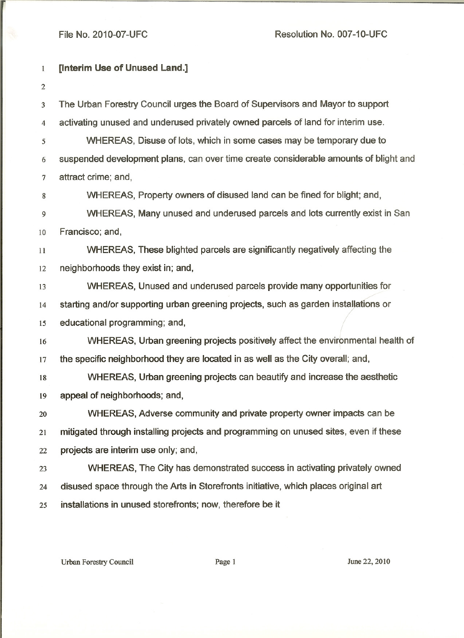## File No. 2010-07-UFC

Resolution No. 007-10-UFC

| $\mathbf{1}$   | <b>[Interim Use of Unused Land.]</b>                                                 |
|----------------|--------------------------------------------------------------------------------------|
| $\overline{2}$ |                                                                                      |
| 3              | The Urban Forestry Council urges the Board of Supervisors and Mayor to support       |
| $\overline{4}$ | activating unused and underused privately owned parcels of land for interim use.     |
| 5              | WHEREAS, Disuse of lots, which in some cases may be temporary due to                 |
| 6              | suspended development plans, can over time create considerable amounts of blight and |
| 7              | attract crime; and,                                                                  |
| 8              | WHEREAS, Property owners of disused land can be fined for blight; and,               |
| 9              | WHEREAS, Many unused and underused parcels and lots currently exist in San           |
| 10             | Francisco; and,                                                                      |
| 11             | WHEREAS, These blighted parcels are significantly negatively affecting the           |
| 12             | neighborhoods they exist in; and,                                                    |
| 13             | WHEREAS, Unused and underused parcels provide many opportunities for                 |
| 14             | starting and/or supporting urban greening projects, such as garden installations or  |
| 15             | educational programming; and,                                                        |
| 16             |                                                                                      |
|                | WHEREAS, Urban greening projects positively affect the environmental health of       |
| 17             | the specific neighborhood they are located in as well as the City overall; and,      |
| 18             | WHEREAS, Urban greening projects can beautify and increase the aesthetic             |
| 19             | appeal of neighborhoods; and,                                                        |
| 20             | WHEREAS, Adverse community and private property owner impacts can be                 |
| 21             | mitigated through installing projects and programming on unused sites, even if these |
| 22             | projects are interim use only; and,                                                  |
| 23             | WHEREAS, The City has demonstrated success in activating privately owned             |
| 24             | disused space through the Arts in Storefronts initiative, which places original art  |
| 25             | installations in unused storefronts; now, therefore be it                            |

Urban Forestry Council Page 1 June 22, 2010